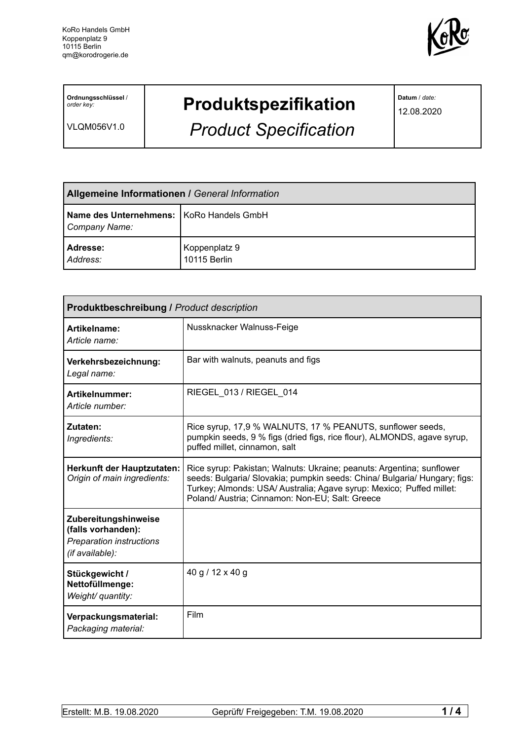

**Ordnungsschlüssel** / *order key:*

VLQM056V1.0

## **Produktspezifikation**

*Product Specification*

**Datum** / *date:*

12.08.2020

| <b>Allgemeine Informationen / General Information</b>       |                               |  |
|-------------------------------------------------------------|-------------------------------|--|
| Name des Unternehmens:   KoRo Handels GmbH<br>Company Name: |                               |  |
| <b>Adresse:</b><br>Address:                                 | Koppenplatz 9<br>10115 Berlin |  |

| <b>Produktbeschreibung / Product description</b>                                          |                                                                                                                                                                                                                                                                              |  |  |
|-------------------------------------------------------------------------------------------|------------------------------------------------------------------------------------------------------------------------------------------------------------------------------------------------------------------------------------------------------------------------------|--|--|
| Artikelname:<br>Article name:                                                             | Nussknacker Walnuss-Feige                                                                                                                                                                                                                                                    |  |  |
| Verkehrsbezeichnung:<br>Legal name:                                                       | Bar with walnuts, peanuts and figs                                                                                                                                                                                                                                           |  |  |
| Artikelnummer:<br>Article number:                                                         | RIEGEL 013 / RIEGEL 014                                                                                                                                                                                                                                                      |  |  |
| Zutaten:<br>Ingredients:                                                                  | Rice syrup, 17,9 % WALNUTS, 17 % PEANUTS, sunflower seeds,<br>pumpkin seeds, 9 % figs (dried figs, rice flour), ALMONDS, agave syrup,<br>puffed millet, cinnamon, salt                                                                                                       |  |  |
| Herkunft der Hauptzutaten:<br>Origin of main ingredients:                                 | Rice syrup: Pakistan; Walnuts: Ukraine; peanuts: Argentina; sunflower<br>seeds: Bulgaria/ Slovakia; pumpkin seeds: China/ Bulgaria/ Hungary; figs:<br>Turkey; Almonds: USA/ Australia; Agave syrup: Mexico; Puffed millet:<br>Poland/Austria; Cinnamon: Non-EU; Salt: Greece |  |  |
| Zubereitungshinweise<br>(falls vorhanden):<br>Preparation instructions<br>(if available): |                                                                                                                                                                                                                                                                              |  |  |
| Stückgewicht /<br>Nettofüllmenge:<br>Weight/ quantity:                                    | 40 g / 12 x 40 g                                                                                                                                                                                                                                                             |  |  |
| Verpackungsmaterial:<br>Packaging material:                                               | Film                                                                                                                                                                                                                                                                         |  |  |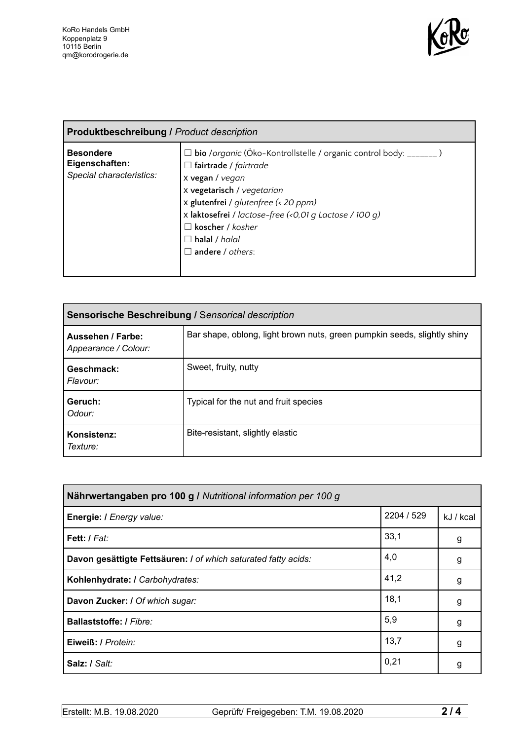

| <b>Produktbeschreibung / Product description</b>               |                                                                                                                                                                                                                                                                                                                                                 |  |  |
|----------------------------------------------------------------|-------------------------------------------------------------------------------------------------------------------------------------------------------------------------------------------------------------------------------------------------------------------------------------------------------------------------------------------------|--|--|
| <b>Besondere</b><br>Eigenschaften:<br>Special characteristics: | $\Box$ bio /organic (Öko-Kontrollstelle / organic control body: _______)<br>$\Box$ fairtrade / fairtrade<br>x vegan / vegan<br>x vegetarisch / vegetarian<br>x glutenfrei / glutenfree (< 20 ppm)<br>x laktosefrei / lactose-free (<0,01 g Lactose / 100 g)<br>$\Box$ koscher / kosher<br>$\Box$ halal / halal<br>$\square$ andere / $others$ : |  |  |

| <b>Sensorische Beschreibung / Sensorical description</b> |                                                                          |  |
|----------------------------------------------------------|--------------------------------------------------------------------------|--|
| Aussehen / Farbe:<br>Appearance / Colour:                | Bar shape, oblong, light brown nuts, green pumpkin seeds, slightly shiny |  |
| Geschmack:<br>Flavour:                                   | Sweet, fruity, nutty                                                     |  |
| Geruch:<br>Odour:                                        | Typical for the nut and fruit species                                    |  |
| Konsistenz:<br>Texture:                                  | Bite-resistant, slightly elastic                                         |  |

| Nährwertangaben pro 100 g / Nutritional information per 100 g  |            |           |  |
|----------------------------------------------------------------|------------|-----------|--|
| Energie: I Energy value:                                       | 2204 / 529 | kJ / kcal |  |
| Fett: I Fat:                                                   | 33,1       | g         |  |
| Davon gesättigte Fettsäuren: I of which saturated fatty acids: | 4,0        | g         |  |
| Kohlenhydrate: I Carbohydrates:                                | 41,2       | g         |  |
| Davon Zucker: I Of which sugar:                                | 18,1       | g         |  |
| <b>Ballaststoffe:</b> / Fibre:                                 | 5,9        | g         |  |
| Eiweiß: / Protein:                                             | 13,7       | g         |  |
| Salz: / Salt:                                                  | 0,21       | g         |  |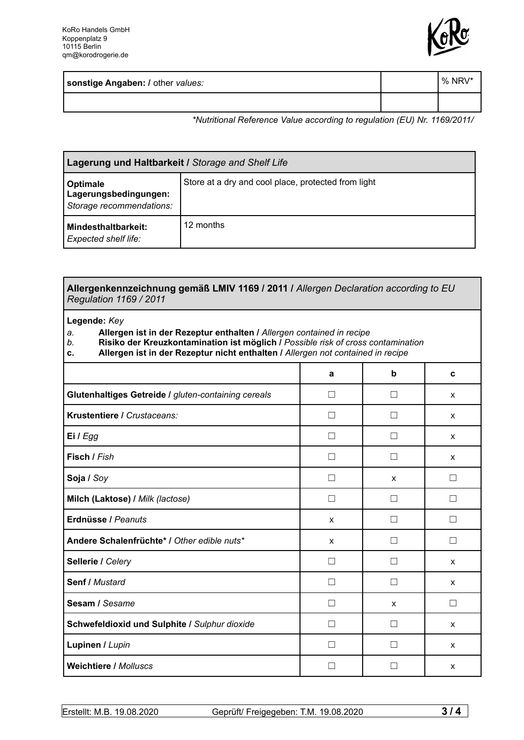

| sonstige Angaben: / other values: | $\sqrt{2}$ NRV' |
|-----------------------------------|-----------------|
|                                   |                 |

*\*Nutritional Reference Value according to regulation (EU) Nr. 1169/2011/*

| Lagerung und Haltbarkeit / Storage and Shelf Life             |                                                     |  |
|---------------------------------------------------------------|-----------------------------------------------------|--|
| Optimale<br>Lagerungsbedingungen:<br>Storage recommendations: | Store at a dry and cool place, protected from light |  |
| Mindesthaltbarkeit:<br>Expected shelf life:                   | 12 months                                           |  |

| Allergenkennzeichnung gemäß LMIV 1169 / 2011 / Allergen Declaration according to EU<br><b>Regulation 1169 / 2011</b>                                                                                                                                                           |                   |                   |   |
|--------------------------------------------------------------------------------------------------------------------------------------------------------------------------------------------------------------------------------------------------------------------------------|-------------------|-------------------|---|
| Legende: Key<br>Allergen ist in der Rezeptur enthalten / Allergen contained in recipe<br>a.<br>Risiko der Kreuzkontamination ist möglich / Possible risk of cross contamination<br>b.<br>Allergen ist in der Rezeptur nicht enthalten / Allergen not contained in recipe<br>c. |                   |                   |   |
|                                                                                                                                                                                                                                                                                | a                 | b                 | C |
| Glutenhaltiges Getreide / gluten-containing cereals                                                                                                                                                                                                                            | $\vert \ \ \vert$ | $\perp$           | X |
| Krustentiere / Crustaceans:                                                                                                                                                                                                                                                    | $\Box$            |                   | X |
| Ei / Egg                                                                                                                                                                                                                                                                       | П                 | П                 | X |
| Fisch / Fish                                                                                                                                                                                                                                                                   | П                 | П                 | X |
| Soja / Soy                                                                                                                                                                                                                                                                     | $\Box$            | X                 | П |
| Milch (Laktose) / Milk (lactose)                                                                                                                                                                                                                                               | П                 | $\perp$           | П |
| Erdnüsse / Peanuts                                                                                                                                                                                                                                                             | X                 | П                 | П |
| Andere Schalenfrüchte* / Other edible nuts*                                                                                                                                                                                                                                    | X                 | $\perp$           | П |
| Sellerie / Celery                                                                                                                                                                                                                                                              | П                 | П                 | X |
| <b>Senf / Mustard</b>                                                                                                                                                                                                                                                          | П                 | П                 | X |
| Sesam / Sesame                                                                                                                                                                                                                                                                 | П                 | X                 | □ |
| Schwefeldioxid und Sulphite / Sulphur dioxide                                                                                                                                                                                                                                  | П                 | П                 | X |
| Lupinen / Lupin                                                                                                                                                                                                                                                                | $\vert \ \ \vert$ | $\vert \ \ \vert$ | X |
| <b>Weichtiere / Molluscs</b>                                                                                                                                                                                                                                                   | $\vert \ \ \vert$ |                   | X |